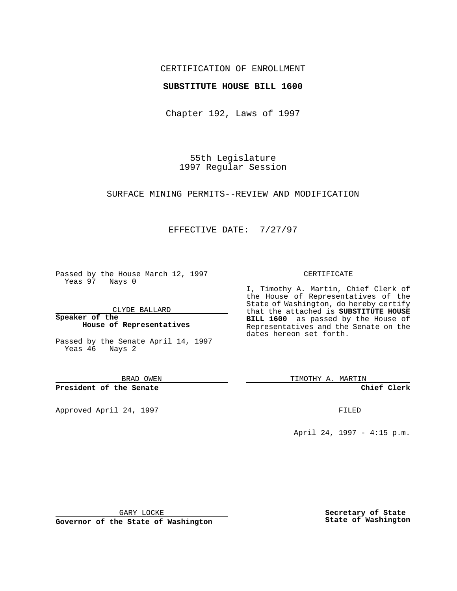## CERTIFICATION OF ENROLLMENT

### **SUBSTITUTE HOUSE BILL 1600**

Chapter 192, Laws of 1997

55th Legislature 1997 Regular Session

SURFACE MINING PERMITS--REVIEW AND MODIFICATION

## EFFECTIVE DATE: 7/27/97

Passed by the House March 12, 1997 Yeas 97 Nays 0

CLYDE BALLARD

**Speaker of the House of Representatives**

Passed by the Senate April 14, 1997 Yeas 46 Nays 2

BRAD OWEN

**President of the Senate**

Approved April 24, 1997 **FILED** 

### CERTIFICATE

I, Timothy A. Martin, Chief Clerk of the House of Representatives of the State of Washington, do hereby certify that the attached is **SUBSTITUTE HOUSE BILL 1600** as passed by the House of Representatives and the Senate on the dates hereon set forth.

TIMOTHY A. MARTIN

**Chief Clerk**

April 24, 1997 - 4:15 p.m.

GARY LOCKE

**Governor of the State of Washington**

**Secretary of State State of Washington**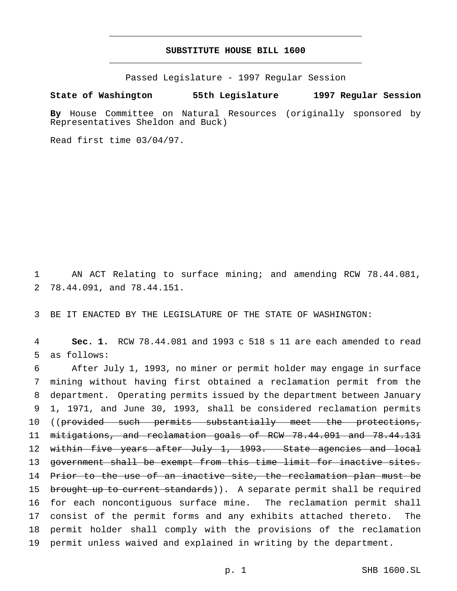# **SUBSTITUTE HOUSE BILL 1600** \_\_\_\_\_\_\_\_\_\_\_\_\_\_\_\_\_\_\_\_\_\_\_\_\_\_\_\_\_\_\_\_\_\_\_\_\_\_\_\_\_\_\_\_\_\_\_

\_\_\_\_\_\_\_\_\_\_\_\_\_\_\_\_\_\_\_\_\_\_\_\_\_\_\_\_\_\_\_\_\_\_\_\_\_\_\_\_\_\_\_\_\_\_\_

Passed Legislature - 1997 Regular Session

#### **State of Washington 55th Legislature 1997 Regular Session**

**By** House Committee on Natural Resources (originally sponsored by Representatives Sheldon and Buck)

Read first time 03/04/97.

1 AN ACT Relating to surface mining; and amending RCW 78.44.081, 2 78.44.091, and 78.44.151.

3 BE IT ENACTED BY THE LEGISLATURE OF THE STATE OF WASHINGTON:

4 **Sec. 1.** RCW 78.44.081 and 1993 c 518 s 11 are each amended to read 5 as follows:

6 After July 1, 1993, no miner or permit holder may engage in surface 7 mining without having first obtained a reclamation permit from the 8 department. Operating permits issued by the department between January 9 1, 1971, and June 30, 1993, shall be considered reclamation permits 10 ((provided such permits substantially meet the protections, 11 mitigations, and reclamation goals of RCW 78.44.091 and 78.44.131 12 within five years after July 1, 1993. State agencies and local 13 government shall be exempt from this time limit for inactive sites. 14 Prior to the use of an inactive site, the reclamation plan must be 15 brought up to current standards)). A separate permit shall be required 16 for each noncontiguous surface mine. The reclamation permit shall 17 consist of the permit forms and any exhibits attached thereto. The 18 permit holder shall comply with the provisions of the reclamation 19 permit unless waived and explained in writing by the department.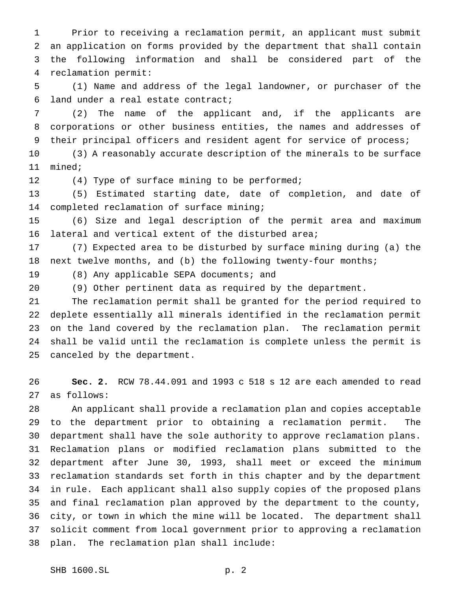Prior to receiving a reclamation permit, an applicant must submit an application on forms provided by the department that shall contain the following information and shall be considered part of the reclamation permit:

 (1) Name and address of the legal landowner, or purchaser of the land under a real estate contract;

 (2) The name of the applicant and, if the applicants are corporations or other business entities, the names and addresses of their principal officers and resident agent for service of process;

 (3) A reasonably accurate description of the minerals to be surface mined;

12 (4) Type of surface mining to be performed;

 (5) Estimated starting date, date of completion, and date of completed reclamation of surface mining;

 (6) Size and legal description of the permit area and maximum lateral and vertical extent of the disturbed area;

 (7) Expected area to be disturbed by surface mining during (a) the next twelve months, and (b) the following twenty-four months;

(8) Any applicable SEPA documents; and

(9) Other pertinent data as required by the department.

 The reclamation permit shall be granted for the period required to deplete essentially all minerals identified in the reclamation permit on the land covered by the reclamation plan. The reclamation permit shall be valid until the reclamation is complete unless the permit is canceled by the department.

 **Sec. 2.** RCW 78.44.091 and 1993 c 518 s 12 are each amended to read as follows:

 An applicant shall provide a reclamation plan and copies acceptable to the department prior to obtaining a reclamation permit. The department shall have the sole authority to approve reclamation plans. Reclamation plans or modified reclamation plans submitted to the department after June 30, 1993, shall meet or exceed the minimum reclamation standards set forth in this chapter and by the department in rule. Each applicant shall also supply copies of the proposed plans and final reclamation plan approved by the department to the county, city, or town in which the mine will be located. The department shall solicit comment from local government prior to approving a reclamation plan. The reclamation plan shall include: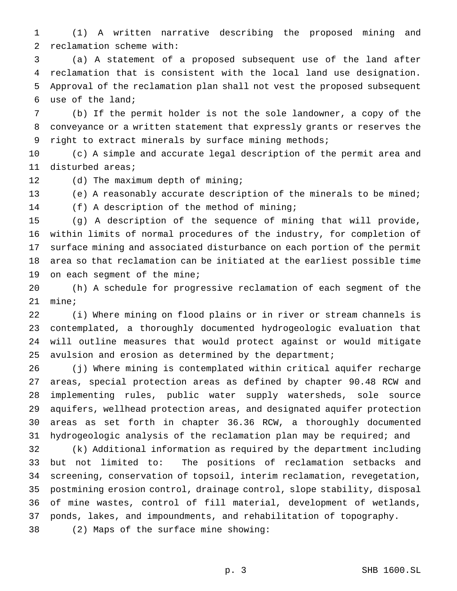(1) A written narrative describing the proposed mining and reclamation scheme with:

 (a) A statement of a proposed subsequent use of the land after reclamation that is consistent with the local land use designation. Approval of the reclamation plan shall not vest the proposed subsequent use of the land;

 (b) If the permit holder is not the sole landowner, a copy of the conveyance or a written statement that expressly grants or reserves the right to extract minerals by surface mining methods;

 (c) A simple and accurate legal description of the permit area and disturbed areas;

12 (d) The maximum depth of mining;

 (e) A reasonably accurate description of the minerals to be mined; (f) A description of the method of mining;

 (g) A description of the sequence of mining that will provide, within limits of normal procedures of the industry, for completion of surface mining and associated disturbance on each portion of the permit area so that reclamation can be initiated at the earliest possible time 19 on each segment of the mine;

 (h) A schedule for progressive reclamation of each segment of the mine;

 (i) Where mining on flood plains or in river or stream channels is contemplated, a thoroughly documented hydrogeologic evaluation that will outline measures that would protect against or would mitigate avulsion and erosion as determined by the department;

 (j) Where mining is contemplated within critical aquifer recharge areas, special protection areas as defined by chapter 90.48 RCW and implementing rules, public water supply watersheds, sole source aquifers, wellhead protection areas, and designated aquifer protection areas as set forth in chapter 36.36 RCW, a thoroughly documented hydrogeologic analysis of the reclamation plan may be required; and

 (k) Additional information as required by the department including but not limited to: The positions of reclamation setbacks and screening, conservation of topsoil, interim reclamation, revegetation, postmining erosion control, drainage control, slope stability, disposal of mine wastes, control of fill material, development of wetlands, ponds, lakes, and impoundments, and rehabilitation of topography. (2) Maps of the surface mine showing: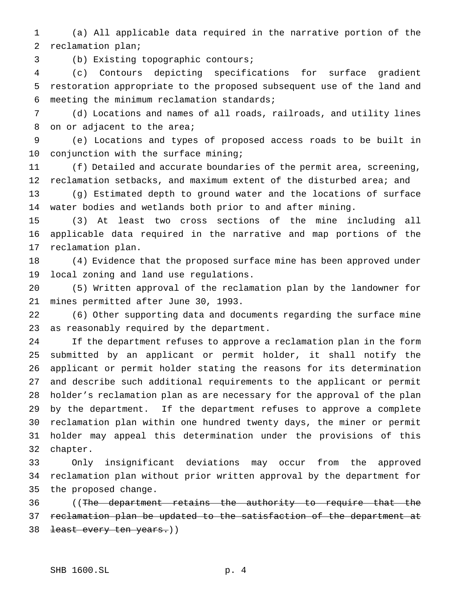(a) All applicable data required in the narrative portion of the reclamation plan;

(b) Existing topographic contours;

 (c) Contours depicting specifications for surface gradient restoration appropriate to the proposed subsequent use of the land and meeting the minimum reclamation standards;

 (d) Locations and names of all roads, railroads, and utility lines 8 on or adjacent to the area;

 (e) Locations and types of proposed access roads to be built in conjunction with the surface mining;

 (f) Detailed and accurate boundaries of the permit area, screening, 12 reclamation setbacks, and maximum extent of the disturbed area; and

 (g) Estimated depth to ground water and the locations of surface water bodies and wetlands both prior to and after mining.

 (3) At least two cross sections of the mine including all applicable data required in the narrative and map portions of the reclamation plan.

 (4) Evidence that the proposed surface mine has been approved under local zoning and land use regulations.

 (5) Written approval of the reclamation plan by the landowner for mines permitted after June 30, 1993.

 (6) Other supporting data and documents regarding the surface mine as reasonably required by the department.

 If the department refuses to approve a reclamation plan in the form submitted by an applicant or permit holder, it shall notify the applicant or permit holder stating the reasons for its determination and describe such additional requirements to the applicant or permit holder's reclamation plan as are necessary for the approval of the plan by the department. If the department refuses to approve a complete reclamation plan within one hundred twenty days, the miner or permit holder may appeal this determination under the provisions of this chapter.

 Only insignificant deviations may occur from the approved reclamation plan without prior written approval by the department for the proposed change.

36 ((The department retains the authority to require that the reclamation plan be updated to the satisfaction of the department at 38 <del>least every ten years.</del>))